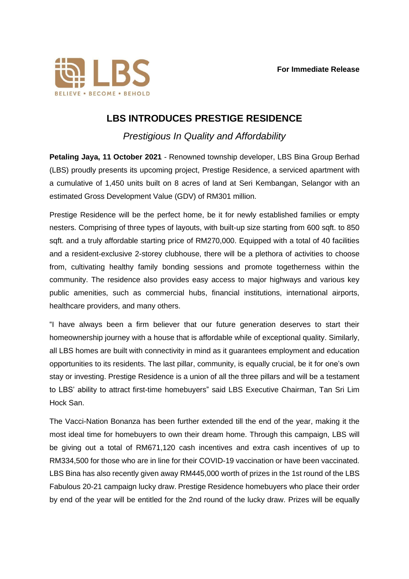

## **LBS INTRODUCES PRESTIGE RESIDENCE**

*Prestigious In Quality and Affordability*

**Petaling Jaya, 11 October 2021** - Renowned township developer, LBS Bina Group Berhad (LBS) proudly presents its upcoming project, Prestige Residence, a serviced apartment with a cumulative of 1,450 units built on 8 acres of land at Seri Kembangan, Selangor with an estimated Gross Development Value (GDV) of RM301 million.

Prestige Residence will be the perfect home, be it for newly established families or empty nesters. Comprising of three types of layouts, with built-up size starting from 600 sqft. to 850 sqft. and a truly affordable starting price of RM270,000. Equipped with a total of 40 facilities and a resident-exclusive 2-storey clubhouse, there will be a plethora of activities to choose from, cultivating healthy family bonding sessions and promote togetherness within the community. The residence also provides easy access to major highways and various key public amenities, such as commercial hubs, financial institutions, international airports, healthcare providers, and many others.

"I have always been a firm believer that our future generation deserves to start their homeownership journey with a house that is affordable while of exceptional quality. Similarly, all LBS homes are built with connectivity in mind as it guarantees employment and education opportunities to its residents. The last pillar, community, is equally crucial, be it for one's own stay or investing. Prestige Residence is a union of all the three pillars and will be a testament to LBS' ability to attract first-time homebuyers" said LBS Executive Chairman, Tan Sri Lim Hock San.

The Vacci-Nation Bonanza has been further extended till the end of the year, making it the most ideal time for homebuyers to own their dream home. Through this campaign, LBS will be giving out a total of RM671,120 cash incentives and extra cash incentives of up to RM334,500 for those who are in line for their COVID-19 vaccination or have been vaccinated. LBS Bina has also recently given away RM445,000 worth of prizes in the 1st round of the LBS Fabulous 20-21 campaign lucky draw. Prestige Residence homebuyers who place their order by end of the year will be entitled for the 2nd round of the lucky draw. Prizes will be equally